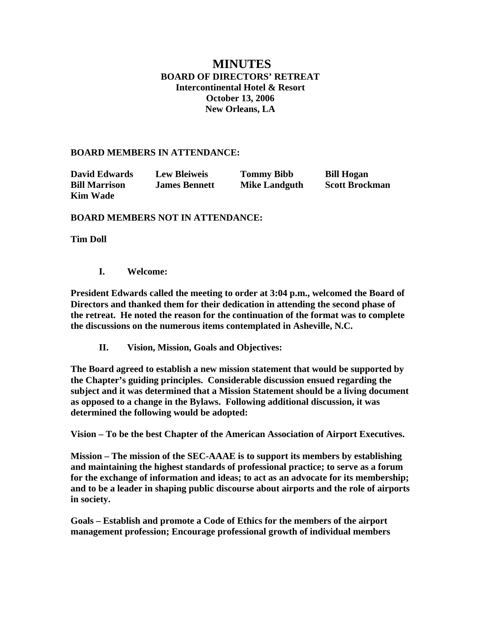# **MINUTES BOARD OF DIRECTORS' RETREAT Intercontinental Hotel & Resort October 13, 2006 New Orleans, LA**

#### **BOARD MEMBERS IN ATTENDANCE:**

| <b>David Edwards</b> | <b>Lew Bleiweis</b>  | <b>Tommy Bibb</b>    | <b>Bill Hogan</b>     |
|----------------------|----------------------|----------------------|-----------------------|
| <b>Bill Marrison</b> | <b>James Bennett</b> | <b>Mike Landguth</b> | <b>Scott Brockman</b> |
| <b>Kim Wade</b>      |                      |                      |                       |

#### **BOARD MEMBERS NOT IN ATTENDANCE:**

**Tim Doll** 

**I. Welcome:** 

**President Edwards called the meeting to order at 3:04 p.m., welcomed the Board of Directors and thanked them for their dedication in attending the second phase of the retreat. He noted the reason for the continuation of the format was to complete the discussions on the numerous items contemplated in Asheville, N.C.** 

**II. Vision, Mission, Goals and Objectives:** 

**The Board agreed to establish a new mission statement that would be supported by the Chapter's guiding principles. Considerable discussion ensued regarding the subject and it was determined that a Mission Statement should be a living document as opposed to a change in the Bylaws. Following additional discussion, it was determined the following would be adopted:** 

**Vision – To be the best Chapter of the American Association of Airport Executives.** 

**Mission – The mission of the SEC-AAAE is to support its members by establishing and maintaining the highest standards of professional practice; to serve as a forum for the exchange of information and ideas; to act as an advocate for its membership; and to be a leader in shaping public discourse about airports and the role of airports in society.** 

**Goals – Establish and promote a Code of Ethics for the members of the airport management profession; Encourage professional growth of individual members**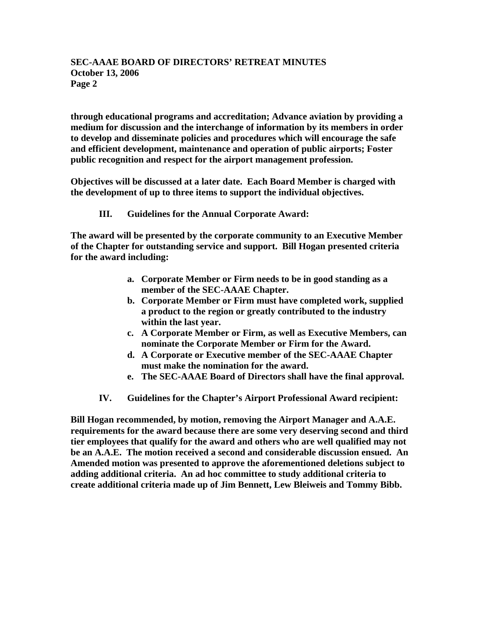## **SEC-AAAE BOARD OF DIRECTORS' RETREAT MINUTES October 13, 2006 Page 2**

**through educational programs and accreditation; Advance aviation by providing a medium for discussion and the interchange of information by its members in order to develop and disseminate policies and procedures which will encourage the safe and efficient development, maintenance and operation of public airports; Foster public recognition and respect for the airport management profession.** 

**Objectives will be discussed at a later date. Each Board Member is charged with the development of up to three items to support the individual objectives.** 

### **III. Guidelines for the Annual Corporate Award:**

**The award will be presented by the corporate community to an Executive Member of the Chapter for outstanding service and support. Bill Hogan presented criteria for the award including:** 

- **a. Corporate Member or Firm needs to be in good standing as a member of the SEC-AAAE Chapter.**
- **b. Corporate Member or Firm must have completed work, supplied a product to the region or greatly contributed to the industry within the last year.**
- **c. A Corporate Member or Firm, as well as Executive Members, can nominate the Corporate Member or Firm for the Award.**
- **d. A Corporate or Executive member of the SEC-AAAE Chapter must make the nomination for the award.**
- **e. The SEC-AAAE Board of Directors shall have the final approval.**
- **IV. Guidelines for the Chapter's Airport Professional Award recipient:**

**Bill Hogan recommended, by motion, removing the Airport Manager and A.A.E. requirements for the award because there are some very deserving second and third tier employees that qualify for the award and others who are well qualified may not be an A.A.E. The motion received a second and considerable discussion ensued. An Amended motion was presented to approve the aforementioned deletions subject to adding additional criteria. An ad hoc committee to study additional criteria to create additional criteria made up of Jim Bennett, Lew Bleiweis and Tommy Bibb.**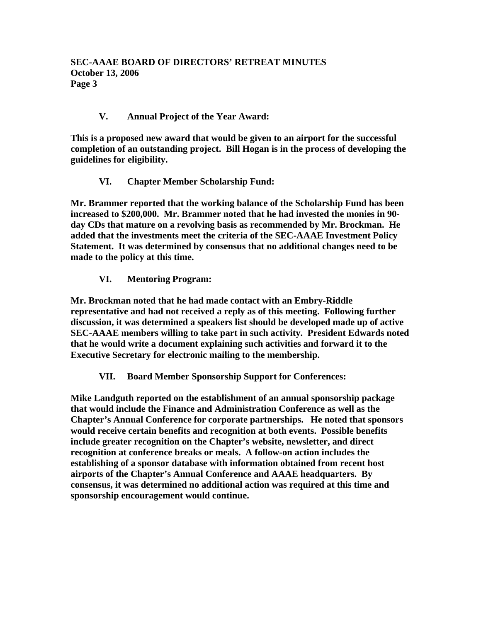## **V. Annual Project of the Year Award:**

**This is a proposed new award that would be given to an airport for the successful completion of an outstanding project. Bill Hogan is in the process of developing the guidelines for eligibility.** 

### **VI. Chapter Member Scholarship Fund:**

**Mr. Brammer reported that the working balance of the Scholarship Fund has been increased to \$200,000. Mr. Brammer noted that he had invested the monies in 90 day CDs that mature on a revolving basis as recommended by Mr. Brockman. He added that the investments meet the criteria of the SEC-AAAE Investment Policy Statement. It was determined by consensus that no additional changes need to be made to the policy at this time.** 

### **VI. Mentoring Program:**

**Mr. Brockman noted that he had made contact with an Embry-Riddle representative and had not received a reply as of this meeting. Following further discussion, it was determined a speakers list should be developed made up of active SEC-AAAE members willing to take part in such activity. President Edwards noted that he would write a document explaining such activities and forward it to the Executive Secretary for electronic mailing to the membership.** 

**VII. Board Member Sponsorship Support for Conferences:** 

**Mike Landguth reported on the establishment of an annual sponsorship package that would include the Finance and Administration Conference as well as the Chapter's Annual Conference for corporate partnerships. He noted that sponsors would receive certain benefits and recognition at both events. Possible benefits include greater recognition on the Chapter's website, newsletter, and direct recognition at conference breaks or meals. A follow-on action includes the establishing of a sponsor database with information obtained from recent host airports of the Chapter's Annual Conference and AAAE headquarters. By consensus, it was determined no additional action was required at this time and sponsorship encouragement would continue.**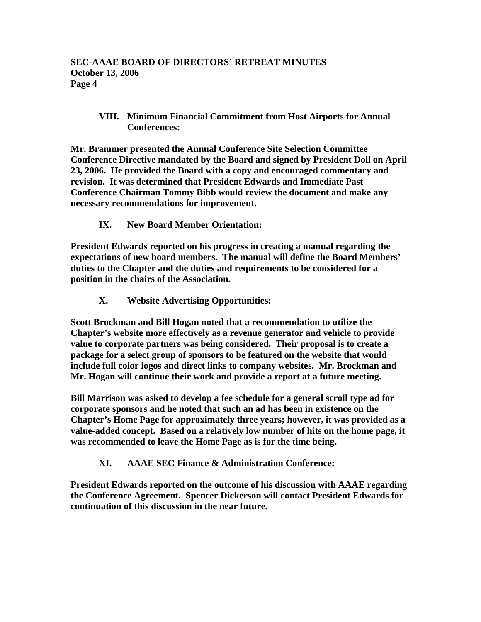### **VIII. Minimum Financial Commitment from Host Airports for Annual Conferences:**

**Mr. Brammer presented the Annual Conference Site Selection Committee Conference Directive mandated by the Board and signed by President Doll on April 23, 2006. He provided the Board with a copy and encouraged commentary and revision. It was determined that President Edwards and Immediate Past Conference Chairman Tommy Bibb would review the document and make any necessary recommendations for improvement.** 

## **IX. New Board Member Orientation:**

**President Edwards reported on his progress in creating a manual regarding the expectations of new board members. The manual will define the Board Members' duties to the Chapter and the duties and requirements to be considered for a position in the chairs of the Association.** 

## **X. Website Advertising Opportunities:**

**Scott Brockman and Bill Hogan noted that a recommendation to utilize the Chapter's website more effectively as a revenue generator and vehicle to provide value to corporate partners was being considered. Their proposal is to create a package for a select group of sponsors to be featured on the website that would include full color logos and direct links to company websites. Mr. Brockman and Mr. Hogan will continue their work and provide a report at a future meeting.** 

**Bill Marrison was asked to develop a fee schedule for a general scroll type ad for corporate sponsors and he noted that such an ad has been in existence on the Chapter's Home Page for approximately three years; however, it was provided as a value-added concept. Based on a relatively low number of hits on the home page, it was recommended to leave the Home Page as is for the time being.** 

## **XI. AAAE SEC Finance & Administration Conference:**

**President Edwards reported on the outcome of his discussion with AAAE regarding the Conference Agreement. Spencer Dickerson will contact President Edwards for continuation of this discussion in the near future.**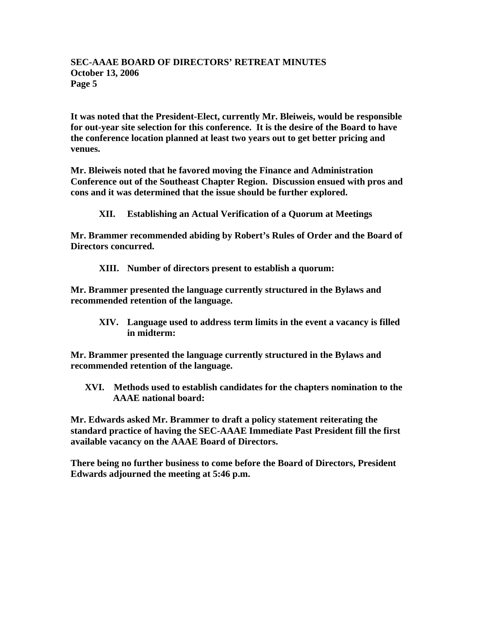### **SEC-AAAE BOARD OF DIRECTORS' RETREAT MINUTES October 13, 2006 Page 5**

**It was noted that the President-Elect, currently Mr. Bleiweis, would be responsible for out-year site selection for this conference. It is the desire of the Board to have the conference location planned at least two years out to get better pricing and venues.** 

**Mr. Bleiweis noted that he favored moving the Finance and Administration Conference out of the Southeast Chapter Region. Discussion ensued with pros and cons and it was determined that the issue should be further explored.** 

**XII. Establishing an Actual Verification of a Quorum at Meetings** 

**Mr. Brammer recommended abiding by Robert's Rules of Order and the Board of Directors concurred.** 

**XIII. Number of directors present to establish a quorum:** 

**Mr. Brammer presented the language currently structured in the Bylaws and recommended retention of the language.** 

**XIV. Language used to address term limits in the event a vacancy is filled in midterm:** 

**Mr. Brammer presented the language currently structured in the Bylaws and recommended retention of the language.** 

**XVI. Methods used to establish candidates for the chapters nomination to the AAAE national board:** 

**Mr. Edwards asked Mr. Brammer to draft a policy statement reiterating the standard practice of having the SEC-AAAE Immediate Past President fill the first available vacancy on the AAAE Board of Directors.** 

**There being no further business to come before the Board of Directors, President Edwards adjourned the meeting at 5:46 p.m.**